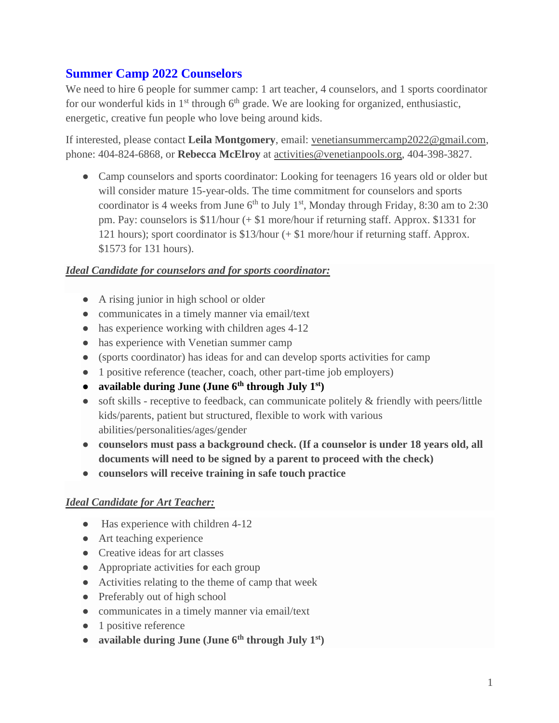# **Summer Camp 2022 Counselors**

We need to hire 6 people for summer camp: 1 art teacher, 4 counselors, and 1 sports coordinator for our wonderful kids in  $1<sup>st</sup>$  through  $6<sup>th</sup>$  grade. We are looking for organized, enthusiastic, energetic, creative fun people who love being around kids.

If interested, please contact **Leila Montgomery**, email: venetiansummercamp2022@gmail.com, phone: 404-824-6868, or **Rebecca McElroy** at activities@venetianpools.org, 404-398-3827.

• Camp counselors and sports coordinator: Looking for teenagers 16 years old or older but will consider mature 15-year-olds. The time commitment for counselors and sports coordinator is 4 weeks from June  $6<sup>th</sup>$  to July 1<sup>st</sup>, Monday through Friday, 8:30 am to 2:30 pm. Pay: counselors is \$11/hour (+ \$1 more/hour if returning staff. Approx. \$1331 for 121 hours); sport coordinator is \$13/hour (+ \$1 more/hour if returning staff. Approx. \$1573 for 131 hours).

### *Ideal Candidate for counselors and for sports coordinator:*

- A rising junior in high school or older
- communicates in a timely manner via email/text
- has experience working with children ages 4-12
- has experience with Venetian summer camp
- (sports coordinator) has ideas for and can develop sports activities for camp
- 1 positive reference (teacher, coach, other part-time job employers)
- **available during June (June 6th through July 1st)**
- soft skills receptive to feedback, can communicate politely & friendly with peers/little kids/parents, patient but structured, flexible to work with various abilities/personalities/ages/gender
- **counselors must pass a background check. (If a counselor is under 18 years old, all documents will need to be signed by a parent to proceed with the check)**
- **counselors will receive training in safe touch practice**

#### *Ideal Candidate for Art Teacher:*

- Has experience with children 4-12
- Art teaching experience
- Creative ideas for art classes
- Appropriate activities for each group
- Activities relating to the theme of camp that week
- Preferably out of high school
- communicates in a timely manner via email/text
- 1 positive reference
- **available during June (June 6th through July 1st)**